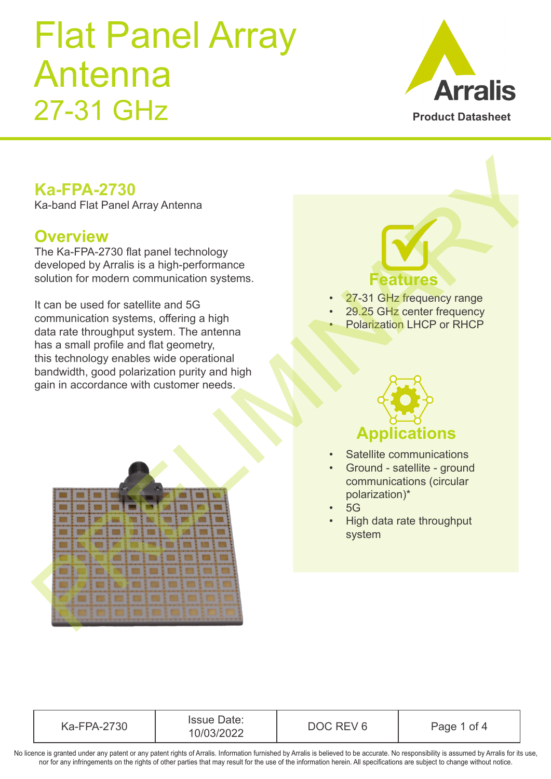

#### **Ka-FPA-2730**

#### **Overview**

### **Features**

- 27-31 GHz frequency range
- 29.25 GHz center frequency
- Polarization LHCP or RHCP



- Satellite communications
- Ground satellite ground communications (circular polarization)\*
- 5G
- High data rate throughput system

| <b>Ka-FPA-2730</b>                                                                                                                                                                                                                                                                                         |                                                                                                                                                    |
|------------------------------------------------------------------------------------------------------------------------------------------------------------------------------------------------------------------------------------------------------------------------------------------------------------|----------------------------------------------------------------------------------------------------------------------------------------------------|
| Ka-band Flat Panel Array Antenna                                                                                                                                                                                                                                                                           |                                                                                                                                                    |
| <b>Overview</b><br>The Ka-FPA-2730 flat panel technology<br>developed by Arralis is a high-performance<br>solution for modern communication systems.                                                                                                                                                       | <b>Features</b>                                                                                                                                    |
| It can be used for satellite and 5G<br>communication systems, offering a high<br>data rate throughput system. The antenna<br>has a small profile and flat geometry,<br>this technology enables wide operational<br>bandwidth, good polarization purity and high<br>gain in accordance with customer needs. | 27-31 GHz frequency range<br>29.25 GHz center frequency<br><b>Polarization LHCP or RHCP</b>                                                        |
|                                                                                                                                                                                                                                                                                                            | <b>Applications</b>                                                                                                                                |
|                                                                                                                                                                                                                                                                                                            | Satellite communications<br>Ground - satellite - ground<br>communications (circular<br>polarization)*<br>5G<br>High data rate throughput<br>system |
|                                                                                                                                                                                                                                                                                                            |                                                                                                                                                    |

Ka-FPA-2730 Issue Date: 10/03/2022 DOC REV 6 Page 1 of 4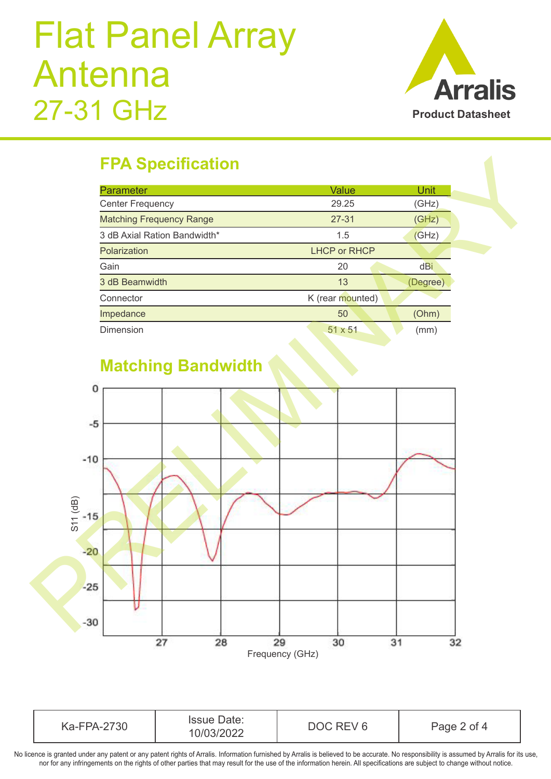

### **FPA Specification**

| <b>Parameter</b>                | Value               | Unit     |
|---------------------------------|---------------------|----------|
| <b>Center Frequency</b>         | 29.25               | (GHz)    |
| <b>Matching Frequency Range</b> | $27 - 31$           | (GHz)    |
| 3 dB Axial Ration Bandwidth*    | 1.5                 | (GHz)    |
| Polarization                    | <b>LHCP or RHCP</b> |          |
| Gain                            | 20                  | dBi      |
| 3 dB Beamwidth                  | 13                  | (Degree) |
| Connector                       | K (rear mounted)    |          |
| Impedance                       | 50                  | (Ohm)    |
| Dimension                       | 51 x 51             | (mm)     |



#### **Matching Bandwidth**

| Ka-FPA-2730 | Date:<br><b>Issue D</b><br>10/03/2022 | REV <sub>6</sub><br>DOC. | Page 2 of 4 |
|-------------|---------------------------------------|--------------------------|-------------|
|-------------|---------------------------------------|--------------------------|-------------|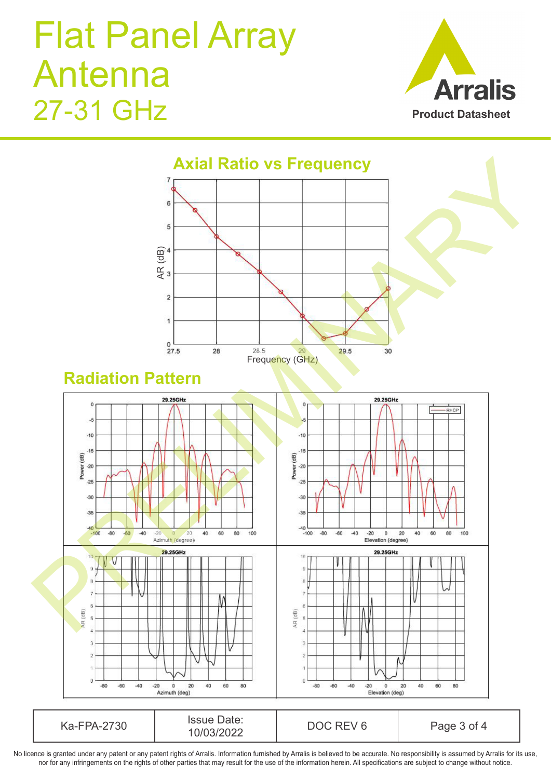